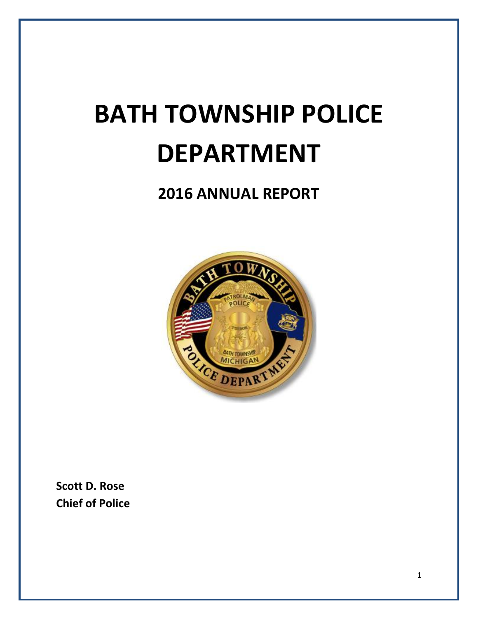# **BATH TOWNSHIP POLICE DEPARTMENT**

## **2016 ANNUAL REPORT**



**Scott D. Rose Chief of Police**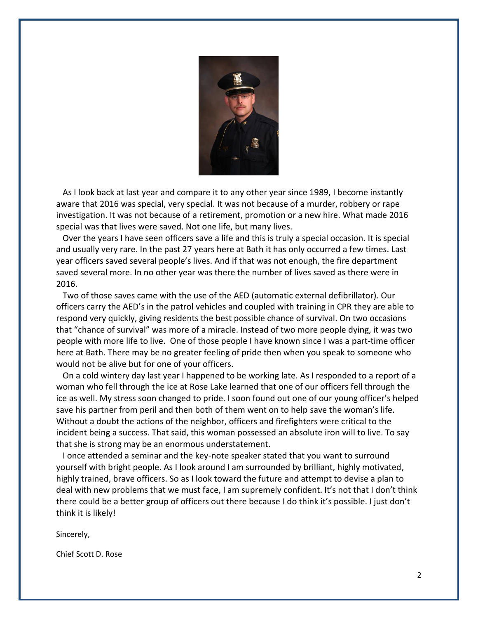

 As I look back at last year and compare it to any other year since 1989, I become instantly aware that 2016 was special, very special. It was not because of a murder, robbery or rape investigation. It was not because of a retirement, promotion or a new hire. What made 2016 special was that lives were saved. Not one life, but many lives.

 Over the years I have seen officers save a life and this is truly a special occasion. It is special and usually very rare. In the past 27 years here at Bath it has only occurred a few times. Last year officers saved several people's lives. And if that was not enough, the fire department saved several more. In no other year was there the number of lives saved as there were in 2016.

 Two of those saves came with the use of the AED (automatic external defibrillator). Our officers carry the AED's in the patrol vehicles and coupled with training in CPR they are able to respond very quickly, giving residents the best possible chance of survival. On two occasions that "chance of survival" was more of a miracle. Instead of two more people dying, it was two people with more life to live. One of those people I have known since I was a part-time officer here at Bath. There may be no greater feeling of pride then when you speak to someone who would not be alive but for one of your officers.

 On a cold wintery day last year I happened to be working late. As I responded to a report of a woman who fell through the ice at Rose Lake learned that one of our officers fell through the ice as well. My stress soon changed to pride. I soon found out one of our young officer's helped save his partner from peril and then both of them went on to help save the woman's life. Without a doubt the actions of the neighbor, officers and firefighters were critical to the incident being a success. That said, this woman possessed an absolute iron will to live. To say that she is strong may be an enormous understatement.

 I once attended a seminar and the key-note speaker stated that you want to surround yourself with bright people. As I look around I am surrounded by brilliant, highly motivated, highly trained, brave officers. So as I look toward the future and attempt to devise a plan to deal with new problems that we must face, I am supremely confident. It's not that I don't think there could be a better group of officers out there because I do think it's possible. I just don't think it is likely!

Sincerely,

Chief Scott D. Rose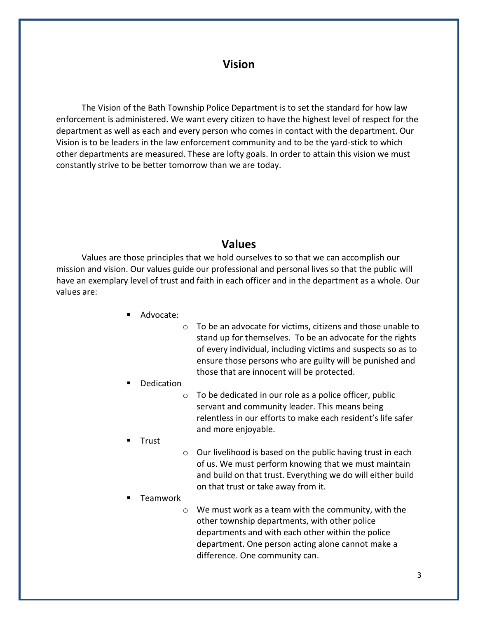## **Vision**

 The Vision of the Bath Township Police Department is to set the standard for how law enforcement is administered. We want every citizen to have the highest level of respect for the department as well as each and every person who comes in contact with the department. Our Vision is to be leaders in the law enforcement community and to be the yard-stick to which other departments are measured. These are lofty goals. In order to attain this vision we must constantly strive to be better tomorrow than we are today.

#### **Values**

 Values are those principles that we hold ourselves to so that we can accomplish our mission and vision. Our values guide our professional and personal lives so that the public will have an exemplary level of trust and faith in each officer and in the department as a whole. Our values are:

- Advocate:
- o To be an advocate for victims, citizens and those unable to stand up for themselves. To be an advocate for the rights of every individual, including victims and suspects so as to ensure those persons who are guilty will be punished and those that are innocent will be protected.
- Dedication
	- o To be dedicated in our role as a police officer, public servant and community leader. This means being relentless in our efforts to make each resident's life safer and more enjoyable.
- Trust
- o Our livelihood is based on the public having trust in each of us. We must perform knowing that we must maintain and build on that trust. Everything we do will either build on that trust or take away from it.
- Teamwork
	- o We must work as a team with the community, with the other township departments, with other police departments and with each other within the police department. One person acting alone cannot make a difference. One community can.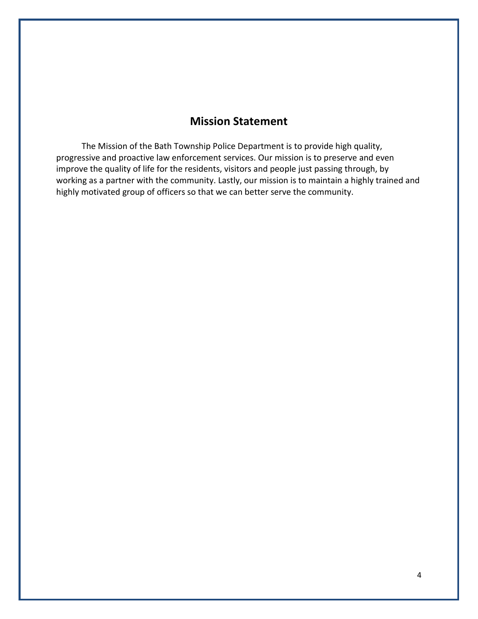## **Mission Statement**

 The Mission of the Bath Township Police Department is to provide high quality, progressive and proactive law enforcement services. Our mission is to preserve and even improve the quality of life for the residents, visitors and people just passing through, by working as a partner with the community. Lastly, our mission is to maintain a highly trained and highly motivated group of officers so that we can better serve the community.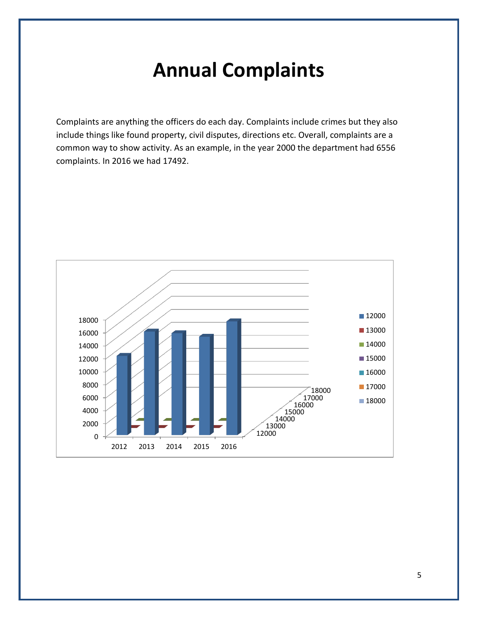## **Annual Complaints**

Complaints are anything the officers do each day. Complaints include crimes but they also include things like found property, civil disputes, directions etc. Overall, complaints are a common way to show activity. As an example, in the year 2000 the department had 6556 complaints. In 2016 we had 17492.

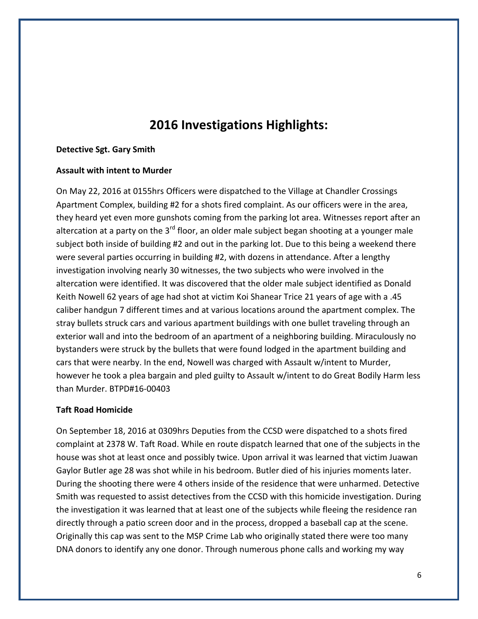## **2016 Investigations Highlights:**

#### **Detective Sgt. Gary Smith**

#### **Assault with intent to Murder**

On May 22, 2016 at 0155hrs Officers were dispatched to the Village at Chandler Crossings Apartment Complex, building #2 for a shots fired complaint. As our officers were in the area, they heard yet even more gunshots coming from the parking lot area. Witnesses report after an altercation at a party on the  $3<sup>rd</sup>$  floor, an older male subject began shooting at a younger male subject both inside of building #2 and out in the parking lot. Due to this being a weekend there were several parties occurring in building #2, with dozens in attendance. After a lengthy investigation involving nearly 30 witnesses, the two subjects who were involved in the altercation were identified. It was discovered that the older male subject identified as Donald Keith Nowell 62 years of age had shot at victim Koi Shanear Trice 21 years of age with a .45 caliber handgun 7 different times and at various locations around the apartment complex. The stray bullets struck cars and various apartment buildings with one bullet traveling through an exterior wall and into the bedroom of an apartment of a neighboring building. Miraculously no bystanders were struck by the bullets that were found lodged in the apartment building and cars that were nearby. In the end, Nowell was charged with Assault w/intent to Murder, however he took a plea bargain and pled guilty to Assault w/intent to do Great Bodily Harm less than Murder. BTPD#16-00403

#### **Taft Road Homicide**

On September 18, 2016 at 0309hrs Deputies from the CCSD were dispatched to a shots fired complaint at 2378 W. Taft Road. While en route dispatch learned that one of the subjects in the house was shot at least once and possibly twice. Upon arrival it was learned that victim Juawan Gaylor Butler age 28 was shot while in his bedroom. Butler died of his injuries moments later. During the shooting there were 4 others inside of the residence that were unharmed. Detective Smith was requested to assist detectives from the CCSD with this homicide investigation. During the investigation it was learned that at least one of the subjects while fleeing the residence ran directly through a patio screen door and in the process, dropped a baseball cap at the scene. Originally this cap was sent to the MSP Crime Lab who originally stated there were too many DNA donors to identify any one donor. Through numerous phone calls and working my way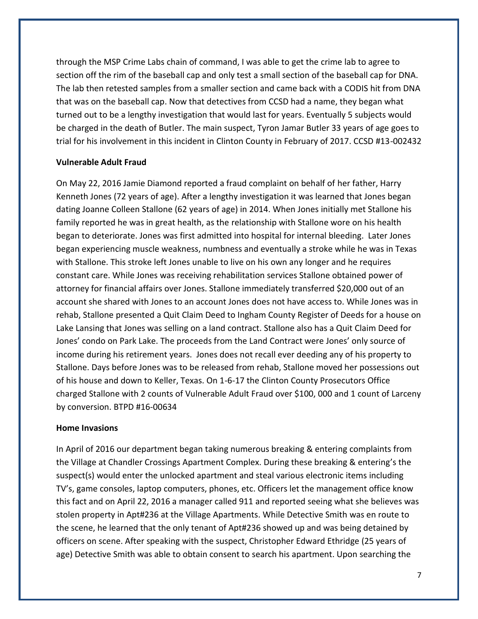through the MSP Crime Labs chain of command, I was able to get the crime lab to agree to section off the rim of the baseball cap and only test a small section of the baseball cap for DNA. The lab then retested samples from a smaller section and came back with a CODIS hit from DNA that was on the baseball cap. Now that detectives from CCSD had a name, they began what turned out to be a lengthy investigation that would last for years. Eventually 5 subjects would be charged in the death of Butler. The main suspect, Tyron Jamar Butler 33 years of age goes to trial for his involvement in this incident in Clinton County in February of 2017. CCSD #13-002432

#### **Vulnerable Adult Fraud**

On May 22, 2016 Jamie Diamond reported a fraud complaint on behalf of her father, Harry Kenneth Jones (72 years of age). After a lengthy investigation it was learned that Jones began dating Joanne Colleen Stallone (62 years of age) in 2014. When Jones initially met Stallone his family reported he was in great health, as the relationship with Stallone wore on his health began to deteriorate. Jones was first admitted into hospital for internal bleeding. Later Jones began experiencing muscle weakness, numbness and eventually a stroke while he was in Texas with Stallone. This stroke left Jones unable to live on his own any longer and he requires constant care. While Jones was receiving rehabilitation services Stallone obtained power of attorney for financial affairs over Jones. Stallone immediately transferred \$20,000 out of an account she shared with Jones to an account Jones does not have access to. While Jones was in rehab, Stallone presented a Quit Claim Deed to Ingham County Register of Deeds for a house on Lake Lansing that Jones was selling on a land contract. Stallone also has a Quit Claim Deed for Jones' condo on Park Lake. The proceeds from the Land Contract were Jones' only source of income during his retirement years. Jones does not recall ever deeding any of his property to Stallone. Days before Jones was to be released from rehab, Stallone moved her possessions out of his house and down to Keller, Texas. On 1-6-17 the Clinton County Prosecutors Office charged Stallone with 2 counts of Vulnerable Adult Fraud over \$100, 000 and 1 count of Larceny by conversion. BTPD #16-00634

#### **Home Invasions**

In April of 2016 our department began taking numerous breaking & entering complaints from the Village at Chandler Crossings Apartment Complex. During these breaking & entering's the suspect(s) would enter the unlocked apartment and steal various electronic items including TV's, game consoles, laptop computers, phones, etc. Officers let the management office know this fact and on April 22, 2016 a manager called 911 and reported seeing what she believes was stolen property in Apt#236 at the Village Apartments. While Detective Smith was en route to the scene, he learned that the only tenant of Apt#236 showed up and was being detained by officers on scene. After speaking with the suspect, Christopher Edward Ethridge (25 years of age) Detective Smith was able to obtain consent to search his apartment. Upon searching the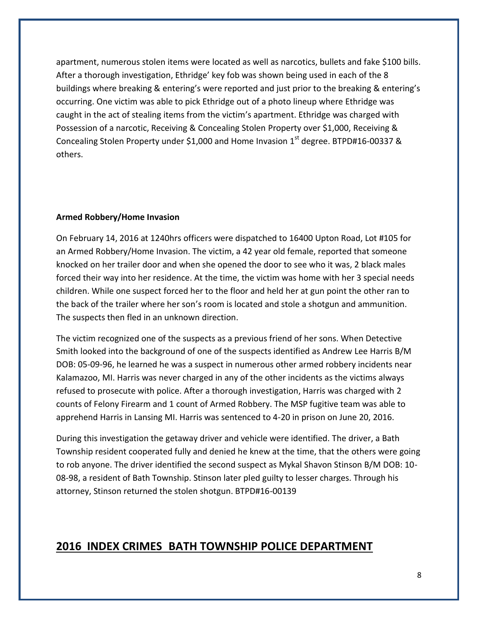apartment, numerous stolen items were located as well as narcotics, bullets and fake \$100 bills. After a thorough investigation, Ethridge' key fob was shown being used in each of the 8 buildings where breaking & entering's were reported and just prior to the breaking & entering's occurring. One victim was able to pick Ethridge out of a photo lineup where Ethridge was caught in the act of stealing items from the victim's apartment. Ethridge was charged with Possession of a narcotic, Receiving & Concealing Stolen Property over \$1,000, Receiving & Concealing Stolen Property under \$1,000 and Home Invasion  $1<sup>st</sup>$  degree. BTPD#16-00337 & others.

#### **Armed Robbery/Home Invasion**

On February 14, 2016 at 1240hrs officers were dispatched to 16400 Upton Road, Lot #105 for an Armed Robbery/Home Invasion. The victim, a 42 year old female, reported that someone knocked on her trailer door and when she opened the door to see who it was, 2 black males forced their way into her residence. At the time, the victim was home with her 3 special needs children. While one suspect forced her to the floor and held her at gun point the other ran to the back of the trailer where her son's room is located and stole a shotgun and ammunition. The suspects then fled in an unknown direction.

The victim recognized one of the suspects as a previous friend of her sons. When Detective Smith looked into the background of one of the suspects identified as Andrew Lee Harris B/M DOB: 05-09-96, he learned he was a suspect in numerous other armed robbery incidents near Kalamazoo, MI. Harris was never charged in any of the other incidents as the victims always refused to prosecute with police. After a thorough investigation, Harris was charged with 2 counts of Felony Firearm and 1 count of Armed Robbery. The MSP fugitive team was able to apprehend Harris in Lansing MI. Harris was sentenced to 4-20 in prison on June 20, 2016.

During this investigation the getaway driver and vehicle were identified. The driver, a Bath Township resident cooperated fully and denied he knew at the time, that the others were going to rob anyone. The driver identified the second suspect as Mykal Shavon Stinson B/M DOB: 10- 08-98, a resident of Bath Township. Stinson later pled guilty to lesser charges. Through his attorney, Stinson returned the stolen shotgun. BTPD#16-00139

#### **2016 INDEX CRIMES BATH TOWNSHIP POLICE DEPARTMENT**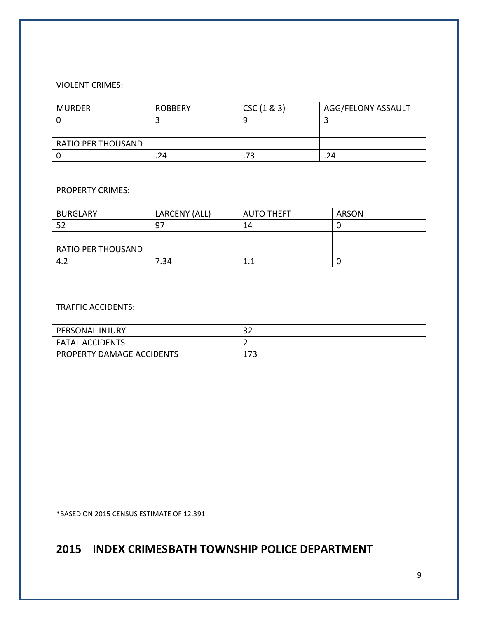#### VIOLENT CRIMES:

| <b>MURDER</b>             | <b>ROBBERY</b> | CSC(1 & 83) | <b>AGG/FELONY ASSAULT</b> |
|---------------------------|----------------|-------------|---------------------------|
|                           |                |             |                           |
|                           |                |             |                           |
| <b>RATIO PER THOUSAND</b> |                |             |                           |
|                           | 24             | د           | .24                       |

#### PROPERTY CRIMES:

| <b>BURGLARY</b>           | LARCENY (ALL) | <b>AUTO THEFT</b> | <b>ARSON</b> |
|---------------------------|---------------|-------------------|--------------|
| 52                        | 97            | 14                |              |
|                           |               |                   |              |
| <b>RATIO PER THOUSAND</b> |               |                   |              |
| 1 J<br>                   | 7.34          |                   |              |

#### TRAFFIC ACCIDENTS:

| PERSONAL INJURY                  | ົ<br>ے ر   |
|----------------------------------|------------|
| <b>FATAL ACCIDENTS</b>           | -          |
| <b>PROPERTY DAMAGE ACCIDENTS</b> | ィフつ<br>ᅩノJ |

\*BASED ON 2015 CENSUS ESTIMATE OF 12,391

## **2015 INDEX CRIMESBATH TOWNSHIP POLICE DEPARTMENT**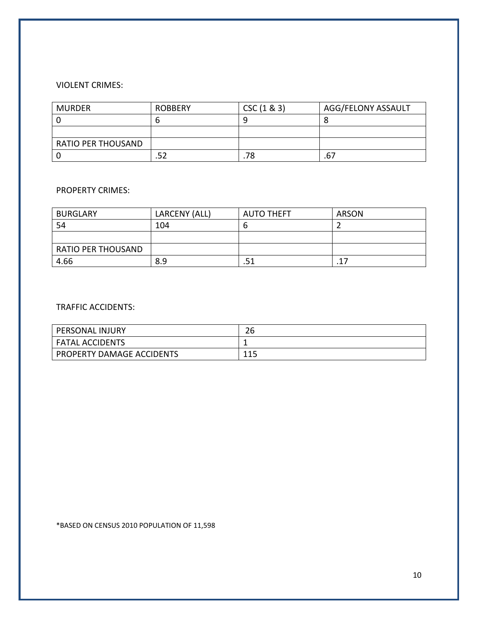#### VIOLENT CRIMES:

| <b>MURDER</b>             | <b>ROBBERY</b> | CSC(1 & 83) | AGG/FELONY ASSAULT |
|---------------------------|----------------|-------------|--------------------|
|                           |                | q           |                    |
|                           |                |             |                    |
| <b>RATIO PER THOUSAND</b> |                |             |                    |
|                           |                | .78         | ، ه.               |

#### PROPERTY CRIMES:

| <b>BURGLARY</b>           | LARCENY (ALL) | <b>AUTO THEFT</b> | <b>ARSON</b> |
|---------------------------|---------------|-------------------|--------------|
| 54                        | 104           | O                 |              |
|                           |               |                   |              |
| <b>RATIO PER THOUSAND</b> |               |                   |              |
| 4.66                      | 8.9           | .51               | .17          |

#### TRAFFIC ACCIDENTS:

| <b>PERSONAL INJURY</b>    | ົ<br>۷b |
|---------------------------|---------|
| FATAL ACCIDENTS           |         |
| PROPERTY DAMAGE ACCIDENTS | 11 E    |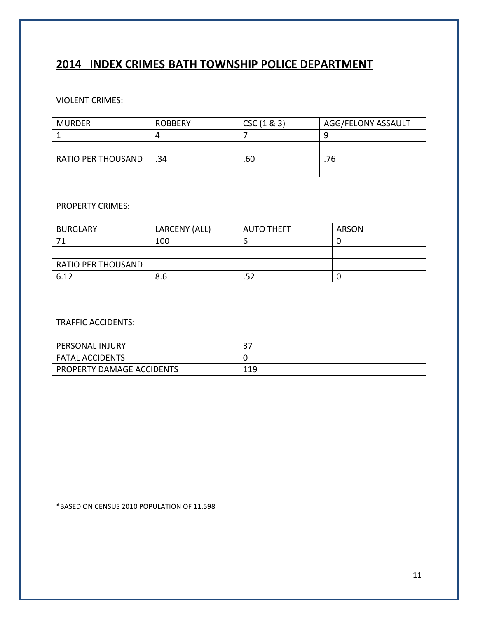## **2014 INDEX CRIMES BATH TOWNSHIP POLICE DEPARTMENT**

VIOLENT CRIMES:

| <b>MURDER</b>             | <b>ROBBERY</b> | CSC(1 & 83) | AGG/FELONY ASSAULT |
|---------------------------|----------------|-------------|--------------------|
|                           |                |             |                    |
|                           |                |             |                    |
| <b>RATIO PER THOUSAND</b> | .34            | .60         | 76                 |
|                           |                |             |                    |

#### PROPERTY CRIMES:

| <b>BURGLARY</b>           | LARCENY (ALL) | <b>AUTO THEFT</b> | ARSON |
|---------------------------|---------------|-------------------|-------|
| -71                       | 100           | O                 |       |
|                           |               |                   |       |
| <b>RATIO PER THOUSAND</b> |               |                   |       |
| 6.12                      | 8.6           |                   |       |

#### TRAFFIC ACCIDENTS:

| PERSONAL INJURY           | ີ<br>. پ |
|---------------------------|----------|
| <b>FATAL ACCIDENTS</b>    |          |
| PROPERTY DAMAGE ACCIDENTS | 119      |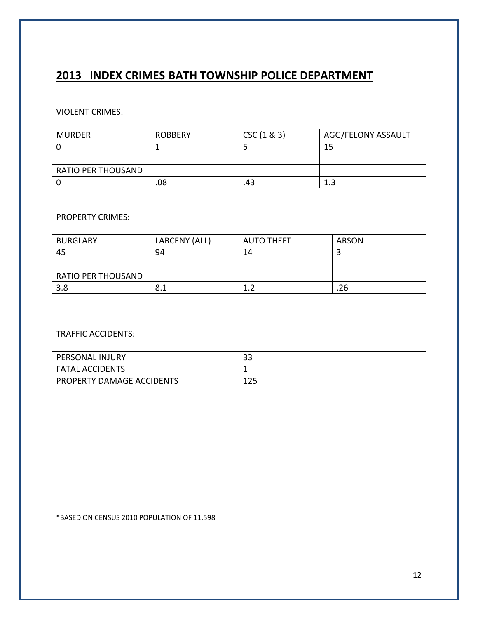## **2013 INDEX CRIMES BATH TOWNSHIP POLICE DEPARTMENT**

#### VIOLENT CRIMES:

| MURDER             | <b>ROBBERY</b> | CSC(1 & 83) | AGG/FELONY ASSAULT |
|--------------------|----------------|-------------|--------------------|
|                    |                |             | 15                 |
|                    |                |             |                    |
| RATIO PER THOUSAND |                |             |                    |
|                    | .08            | 43          |                    |

#### PROPERTY CRIMES:

| <b>BURGLARY</b>           | LARCENY (ALL) | <b>AUTO THEFT</b> | <b>ARSON</b> |
|---------------------------|---------------|-------------------|--------------|
| 45                        | 94            | 14                |              |
|                           |               |                   |              |
| <b>RATIO PER THOUSAND</b> |               |                   |              |
| 3.8                       | 8.1           |                   | .26          |

#### TRAFFIC ACCIDENTS:

| <b>PERSONAL INJURY</b>    | າາ<br>ວວ   |
|---------------------------|------------|
| <b>FATAL ACCIDENTS</b>    |            |
| PROPERTY DAMAGE ACCIDENTS | 1つに<br>ᆂᆇᆚ |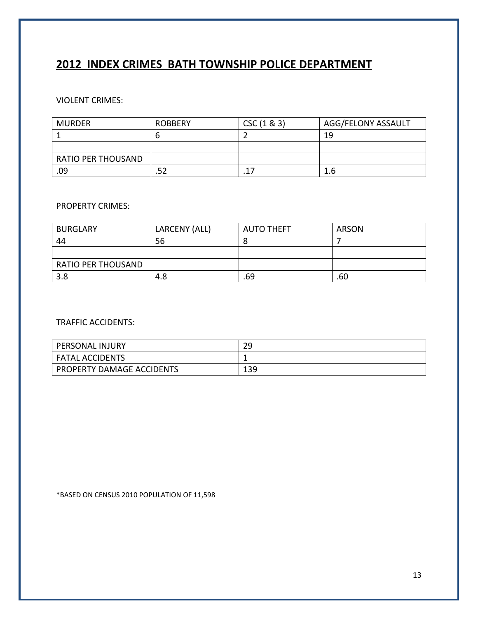## **2012 INDEX CRIMES BATH TOWNSHIP POLICE DEPARTMENT**

#### VIOLENT CRIMES:

| <b>MURDER</b>      | <b>ROBBERY</b> | CSC(1 & 83) | <b>AGG/FELONY ASSAULT</b> |
|--------------------|----------------|-------------|---------------------------|
|                    |                |             | 19                        |
|                    |                |             |                           |
| RATIO PER THOUSAND |                |             |                           |
| .09                |                |             | 1.6                       |

#### PROPERTY CRIMES:

| <b>BURGLARY</b>           | LARCENY (ALL) | <b>AUTO THEFT</b> | <b>ARSON</b> |
|---------------------------|---------------|-------------------|--------------|
| 44                        | 56            | O                 |              |
|                           |               |                   |              |
| <b>RATIO PER THOUSAND</b> |               |                   |              |
| 3.8                       | 4.8           | .69               | .60          |

#### TRAFFIC ACCIDENTS:

| PERSONAL INJURY           | 29  |
|---------------------------|-----|
| <b>FATAL ACCIDENTS</b>    | --  |
| PROPERTY DAMAGE ACCIDENTS | 139 |